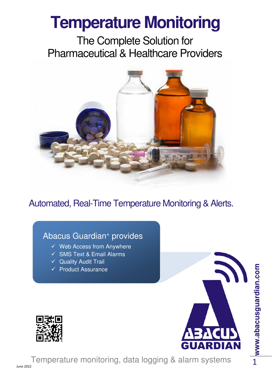# **Temperature Monitoring**

The Complete Solution for Pharmaceutical & Healthcare Providers



Automated, Real-Time Temperature Monitoring & Alerts.

# Abacus Guardian<sup>+</sup> provides

- $\checkmark$  Web Access from Anywhere
- $\checkmark$  SMS Text & Email Alarms
- $\checkmark$  Quality Audit Trail
- $\checkmark$  Product Assurance



Temperature monitoring, data logging & alarm systems

**www.abacusguardian.com** <mark>∸ www.abacusguardian.com</mark>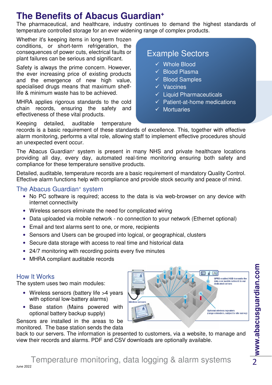# **The Benefits of Abacus Guardian<sup>+</sup>**

The pharmaceutical, and healthcare, industry continues to demand the highest standards of temperature controlled storage for an ever widening range of complex products.

Whether it's keeping items in long-term frozen conditions, or short-term refrigeration, the consequences of power cuts, electrical faults or plant failures can be serious and significant.

Safety is always the prime concern. However, the ever increasing price of existing products and the emergence of new high value, specialised drugs means that maximum shelflife & minimum waste has to be achieved.

MHRA applies rigorous standards to the cold chain records, ensuring the safety and effectiveness of these vital products.

# Example Sectors

- Whole Blood
- $\checkmark$  Blood Plasma
- $\checkmark$  Blood Samples
- $\checkmark$  Vaccines
- $\checkmark$  Liquid Pharmaceuticals
- $\checkmark$  Patient-at-home medications
- $\checkmark$  Mortuaries

Keeping detailed, auditable temperature

records is a basic requirement of these standards of excellence. This, together with effective alarm monitoring, performs a vital role, allowing staff to implement effective procedures should an unexpected event occur.

The Abacus Guardian<sup>+</sup> system is present in many NHS and private healthcare locations providing all day, every day, automated real-time monitoring ensuring both safety and compliance for these temperature sensitive products.

Detailed, auditable, temperature records are a basic requirement of mandatory Quality Control. Effective alarm functions help with compliance and provide stock security and peace of mind.

#### The Abacus Guardian<sup>+</sup> system

- No PC software is required; access to the data is via web-browser on any device with internet connectivity
- Wireless sensors eliminate the need for complicated wiring
- Data uploaded via mobile network no connection to your network (Ethernet optional)
- Email and text alarms sent to one, or more, recipients
- Sensors and Users can be grouped into logical, or geographical, clusters
- Secure data storage with access to real time and historical data
- 24/7 monitoring with recording points every five minutes
- MHRA compliant auditable records

#### How It Works

The system uses two main modules:

- Wireless sensors (battery life >4 years with optional low-battery alarms)
- Base station (Mains powered with optional battery backup supply)

Sensors are installed in the areas to be monitored. The base station sends the data

 $\frac{1}{2}$ GPRS enabled HUB transmits the<br>data over mobile network to our<br>dedicated servers Optional wireless repeaters<br>(range extenders, subject to site survey)

back to our servers. The information is presented to customers, via a website, to manage and view their records and alarms. PDF and CSV downloads are optionally available.